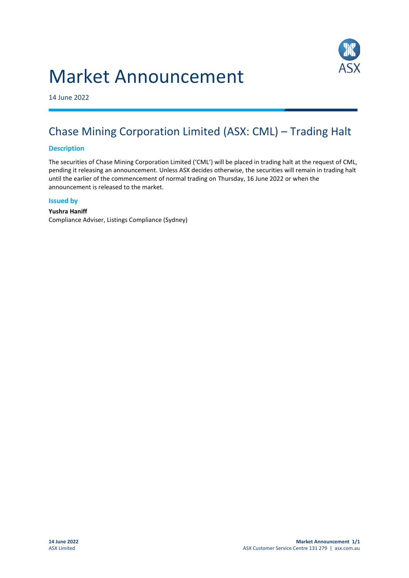



14 June 2022

## Chase Mining Corporation Limited (ASX: CML) – Trading Halt

## **Description**

The securities of Chase Mining Corporation Limited ('CML') will be placed in trading halt at the request of CML, pending it releasing an announcement. Unless ASX decides otherwise, the securities will remain in trading halt until the earlier of the commencement of normal trading on Thursday, 16 June 2022 or when the announcement is released to the market.

## **Issued by**

**Yushra Haniff** Compliance Adviser, Listings Compliance (Sydney)